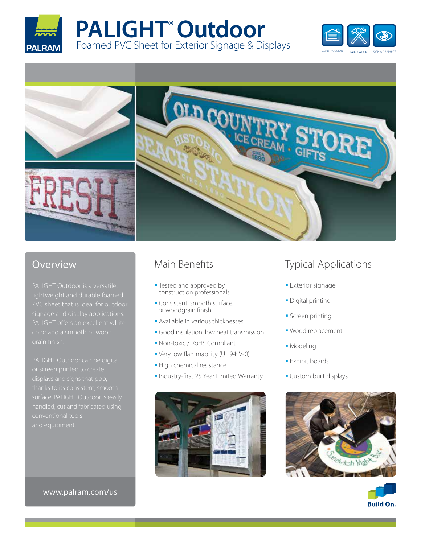









# Overview

PALIGHT Outdoor is a versatile, signage and display applications.

PALIGHT Outdoor can be digital displays and signs that pop, thanks to its consistent, smooth conventional tools

## www.palram.com/us

# Main Benefits

- **Tested and approved by** construction professionals
- Consistent, smooth surface, or woodgrain finish
- Available in various thicknesses
- Good insulation, low heat transmission
- Non-toxic / RoHS Compliant
- Very low flammability (UL 94: V-0)
- **High chemical resistance**
- **Industry-first 25 Year Limited Warranty**



# Typical Applications

- **Exterior signage**
- **Digital printing**
- **Screen printing**
- Wood replacement
- **Modeling**
- **Exhibit boards**
- **Custom built displays**